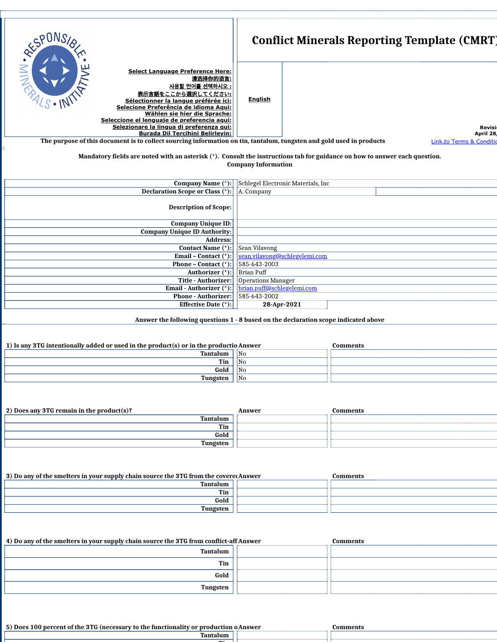|                                                                                                                                                                                                                                                                                                                                                                | <b>Conflict Minerals Reporting Template (CMRT)</b>                                                                         |
|----------------------------------------------------------------------------------------------------------------------------------------------------------------------------------------------------------------------------------------------------------------------------------------------------------------------------------------------------------------|----------------------------------------------------------------------------------------------------------------------------|
| SPONSIA<br><b>Select Language Preference Here:</b><br>请选择你的语言:<br>사용할 언어를 선택하시오 :<br>表示言語をここから選択してください:<br>Sélectionner la langue préférée ici:<br>Selecione Preferência de idioma Aqui:<br>Wählen sie hier die Sprache:<br>Seleccione el lenguaje de preferencia aqui:<br>Selezionare la lingua di preferenza qui:<br><b>Burada Dil Tercihini Belirleyin:</b> | <b>English</b><br>Revisil<br>April 28                                                                                      |
| The purpose of this document is to collect sourcing information on tin, tantalum, tungsten and gold used in products                                                                                                                                                                                                                                           | Link to Terms & Condition                                                                                                  |
|                                                                                                                                                                                                                                                                                                                                                                |                                                                                                                            |
|                                                                                                                                                                                                                                                                                                                                                                | Mandatory fields are noted with an asterisk (*). Consult the instructions tab for guidance on how to answer each question. |
|                                                                                                                                                                                                                                                                                                                                                                | <b>Company Information</b>                                                                                                 |
|                                                                                                                                                                                                                                                                                                                                                                |                                                                                                                            |
| <b>Company Name (*):</b>                                                                                                                                                                                                                                                                                                                                       | Schlegel Electronic Materials, Inc.                                                                                        |
| <b>Declaration Scope or Class (*)</b>                                                                                                                                                                                                                                                                                                                          | A. Company                                                                                                                 |
| <b>Description of Scope:</b>                                                                                                                                                                                                                                                                                                                                   |                                                                                                                            |
| <b>Company Unique ID:</b>                                                                                                                                                                                                                                                                                                                                      |                                                                                                                            |
| <b>Company Unique ID Authority:</b>                                                                                                                                                                                                                                                                                                                            |                                                                                                                            |
| <b>Address:</b>                                                                                                                                                                                                                                                                                                                                                |                                                                                                                            |
| Contact Name (*):                                                                                                                                                                                                                                                                                                                                              | Sean Vilavong                                                                                                              |
| Email - Contact $(*)$                                                                                                                                                                                                                                                                                                                                          | sean.vilavong@schlegelemi.com                                                                                              |
| <b>Phone - Contact</b> $(*)$                                                                                                                                                                                                                                                                                                                                   | 585-643-2003                                                                                                               |
| Authorizer (*):<br><b>Title - Authorizer:</b>                                                                                                                                                                                                                                                                                                                  | <b>Brian Puff</b><br>Operations Manager                                                                                    |
| Email - Authorizer (*):                                                                                                                                                                                                                                                                                                                                        | brian.puff@schlegelemi.com                                                                                                 |
| <b>Phone - Authorizer:</b>                                                                                                                                                                                                                                                                                                                                     | 585-643-2002                                                                                                               |
| <b>Effective Date</b> (*):                                                                                                                                                                                                                                                                                                                                     | 28-Apr-2021                                                                                                                |
|                                                                                                                                                                                                                                                                                                                                                                |                                                                                                                            |

**Answer the following questions 1 - 8 based on the declaration scope indicated above**

| 1) Is any 3TG intentionally added or used in the product(s) or in the productio Answer |                 | Comments |
|----------------------------------------------------------------------------------------|-----------------|----------|
| Tantalum                                                                               | l <sub>No</sub> |          |
| Tin                                                                                    | 1No             |          |
| Gold                                                                                   | <b>No</b>       |          |
| Tungsten                                                                               | N <sub>0</sub>  |          |
|                                                                                        |                 |          |

| 2) Does any 3TG remain in the product(s)? | Answer | Comments |
|-------------------------------------------|--------|----------|
| Tantalum                                  |        |          |
| Tin                                       |        |          |
| Gold                                      |        |          |
| <b>Tungsten</b>                           |        |          |

| 3) Do any of the smelters in your supply chain source the 3TG from the covered Answer | Comments |
|---------------------------------------------------------------------------------------|----------|
| Tantalum                                                                              |          |
| Tin                                                                                   |          |
| Gold                                                                                  |          |
| Tungsten                                                                              |          |
|                                                                                       |          |

| 4) Do any of the smelters in your supply chain source the 3TG from conflict-aff Answer | Comments |
|----------------------------------------------------------------------------------------|----------|
| Tantalum                                                                               |          |
| Tin                                                                                    |          |
| Gold                                                                                   |          |
| Tungsten                                                                               |          |

**Answer 5) Does 100 percent of the 3TG (necessary to the functionality or production o Comments Tantalum**

**Ti**